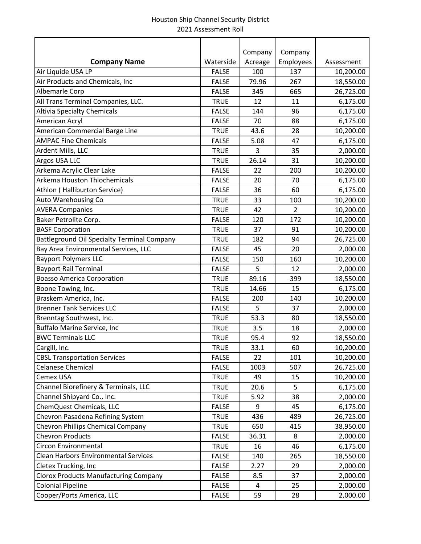|                                                    |              | Company | Company        |            |
|----------------------------------------------------|--------------|---------|----------------|------------|
| <b>Company Name</b>                                | Waterside    | Acreage | Employees      | Assessment |
| Air Liquide USA LP                                 | <b>FALSE</b> | 100     | 137            | 10,200.00  |
| Air Products and Chemicals, Inc                    | <b>FALSE</b> | 79.96   | 267            | 18,550.00  |
| Albemarle Corp                                     | <b>FALSE</b> | 345     | 665            | 26,725.00  |
| All Trans Terminal Companies, LLC.                 | <b>TRUE</b>  | 12      | 11             | 6,175.00   |
| <b>Altivia Specialty Chemicals</b>                 | <b>FALSE</b> | 144     | 96             | 6,175.00   |
| American Acryl                                     | <b>FALSE</b> | 70      | 88             | 6,175.00   |
| American Commercial Barge Line                     | <b>TRUE</b>  | 43.6    | 28             | 10,200.00  |
| <b>AMPAC Fine Chemicals</b>                        | <b>FALSE</b> | 5.08    | 47             | 6,175.00   |
| Ardent Mills, LLC                                  | <b>TRUE</b>  | 3       | 35             | 2,000.00   |
| Argos USA LLC                                      | <b>TRUE</b>  | 26.14   | 31             | 10,200.00  |
| Arkema Acrylic Clear Lake                          | <b>FALSE</b> | 22      | 200            | 10,200.00  |
| Arkema Houston Thiochemicals                       | <b>FALSE</b> | 20      | 70             | 6,175.00   |
| Athlon (Halliburton Service)                       | <b>FALSE</b> | 36      | 60             | 6,175.00   |
| Auto Warehousing Co                                | <b>TRUE</b>  | 33      | 100            | 10,200.00  |
| <b>AVERA Companies</b>                             | <b>TRUE</b>  | 42      | $\overline{2}$ | 10,200.00  |
| Baker Petrolite Corp.                              | <b>FALSE</b> | 120     | 172            | 10,200.00  |
| <b>BASF Corporation</b>                            | <b>TRUE</b>  | 37      | 91             | 10,200.00  |
| <b>Battleground Oil Specialty Terminal Company</b> | <b>TRUE</b>  | 182     | 94             | 26,725.00  |
| Bay Area Environmental Services, LLC               | <b>FALSE</b> | 45      | 20             | 2,000.00   |
| <b>Bayport Polymers LLC</b>                        | <b>FALSE</b> | 150     | 160            | 10,200.00  |
| <b>Bayport Rail Terminal</b>                       | <b>FALSE</b> | 5       | 12             | 2,000.00   |
| <b>Boasso America Corporation</b>                  | <b>TRUE</b>  | 89.16   | 399            | 18,550.00  |
| Boone Towing, Inc.                                 | <b>TRUE</b>  | 14.66   | 15             | 6,175.00   |
| Braskem America, Inc.                              | <b>FALSE</b> | 200     | 140            | 10,200.00  |
| <b>Brenner Tank Services LLC</b>                   | <b>FALSE</b> | 5       | 37             | 2,000.00   |
| Brenntag Southwest, Inc.                           | <b>TRUE</b>  | 53.3    | 80             | 18,550.00  |
| <b>Buffalo Marine Service, Inc</b>                 | <b>TRUE</b>  | 3.5     | 18             | 2,000.00   |
| <b>BWC Terminals LLC</b>                           | <b>TRUE</b>  | 95.4    | 92             | 18,550.00  |
| Cargill, Inc.                                      | <b>TRUE</b>  | 33.1    | 60             | 10,200.00  |
| <b>CBSL Transportation Services</b>                | <b>FALSE</b> | 22      | 101            | 10,200.00  |
| <b>Celanese Chemical</b>                           | <b>FALSE</b> | 1003    | 507            | 26,725.00  |
| Cemex USA                                          | <b>TRUE</b>  | 49      | 15             | 10,200.00  |
| Channel Biorefinery & Terminals, LLC               | <b>TRUE</b>  | 20.6    | 5              | 6,175.00   |
| Channel Shipyard Co., Inc.                         | <b>TRUE</b>  | 5.92    | 38             | 2,000.00   |
| ChemQuest Chemicals, LLC                           | <b>FALSE</b> | 9       | 45             | 6,175.00   |
| Chevron Pasadena Refining System                   | <b>TRUE</b>  | 436     | 489            | 26,725.00  |
| Chevron Phillips Chemical Company                  | <b>TRUE</b>  | 650     | 415            | 38,950.00  |
| <b>Chevron Products</b>                            | <b>FALSE</b> | 36.31   | 8              | 2,000.00   |
| Circon Environmental                               | <b>TRUE</b>  | 16      | 46             | 6,175.00   |
| Clean Harbors Environmental Services               | <b>FALSE</b> | 140     | 265            | 18,550.00  |
| Cletex Trucking, Inc                               | <b>FALSE</b> | 2.27    | 29             | 2,000.00   |
| <b>Clorox Products Manufacturing Company</b>       | <b>FALSE</b> | 8.5     | 37             | 2,000.00   |
| <b>Colonial Pipeline</b>                           | <b>FALSE</b> | 4       | 25             | 2,000.00   |
| Cooper/Ports America, LLC                          | <b>FALSE</b> | 59      | 28             | 2,000.00   |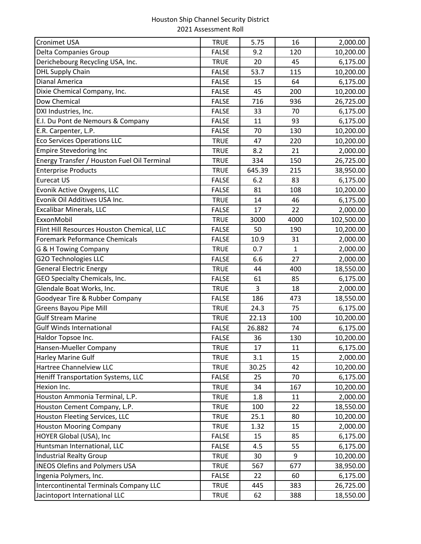| <b>Cronimet USA</b>                         | <b>TRUE</b>  | 5.75   | 16   | 2,000.00   |
|---------------------------------------------|--------------|--------|------|------------|
| Delta Companies Group                       | <b>FALSE</b> | 9.2    | 120  | 10,200.00  |
| Derichebourg Recycling USA, Inc.            | <b>TRUE</b>  | 20     | 45   | 6,175.00   |
| <b>DHL Supply Chain</b>                     | <b>FALSE</b> | 53.7   | 115  | 10,200.00  |
| <b>Dianal America</b>                       | <b>FALSE</b> | 15     | 64   | 6,175.00   |
| Dixie Chemical Company, Inc.                | <b>FALSE</b> | 45     | 200  | 10,200.00  |
| Dow Chemical                                | <b>FALSE</b> | 716    | 936  | 26,725.00  |
| DXI Industries, Inc.                        | <b>FALSE</b> | 33     | 70   | 6,175.00   |
| E.I. Du Pont de Nemours & Company           | <b>FALSE</b> | 11     | 93   | 6,175.00   |
| E.R. Carpenter, L.P.                        | <b>FALSE</b> | 70     | 130  | 10,200.00  |
| <b>Eco Services Operations LLC</b>          | <b>TRUE</b>  | 47     | 220  | 10,200.00  |
| <b>Empire Stevedoring Inc</b>               | <b>TRUE</b>  | 8.2    | 21   | 2,000.00   |
| Energy Transfer / Houston Fuel Oil Terminal | <b>TRUE</b>  | 334    | 150  | 26,725.00  |
| <b>Enterprise Products</b>                  | <b>TRUE</b>  | 645.39 | 215  | 38,950.00  |
| <b>Eurecat US</b>                           | <b>FALSE</b> | 6.2    | 83   | 6,175.00   |
| Evonik Active Oxygens, LLC                  | <b>FALSE</b> | 81     | 108  | 10,200.00  |
| Evonik Oil Additives USA Inc.               | <b>TRUE</b>  | 14     | 46   | 6,175.00   |
| <b>Excalibar Minerals, LLC</b>              | <b>FALSE</b> | 17     | 22   | 2,000.00   |
| ExxonMobil                                  | <b>TRUE</b>  | 3000   | 4000 | 102,500.00 |
| Flint Hill Resources Houston Chemical, LLC  | <b>FALSE</b> | 50     | 190  | 10,200.00  |
| <b>Foremark Peformance Chemicals</b>        | <b>FALSE</b> | 10.9   | 31   | 2,000.00   |
| G & H Towing Company                        | <b>TRUE</b>  | 0.7    | 1    | 2,000.00   |
| <b>G2O Technologies LLC</b>                 | <b>FALSE</b> | 6.6    | 27   | 2,000.00   |
| <b>General Electric Energy</b>              | <b>TRUE</b>  | 44     | 400  | 18,550.00  |
| GEO Specialty Chemicals, Inc.               | <b>FALSE</b> | 61     | 85   | 6,175.00   |
| Glendale Boat Works, Inc.                   | <b>TRUE</b>  | 3      | 18   | 2,000.00   |
| Goodyear Tire & Rubber Company              | <b>FALSE</b> | 186    | 473  | 18,550.00  |
| Greens Bayou Pipe Mill                      | <b>TRUE</b>  | 24.3   | 75   | 6,175.00   |
| <b>Gulf Stream Marine</b>                   | <b>TRUE</b>  | 22.13  | 100  | 10,200.00  |
| <b>Gulf Winds International</b>             | <b>FALSE</b> | 26.882 | 74   | 6,175.00   |
| Haldor Topsoe Inc.                          | <b>FALSE</b> | 36     | 130  | 10,200.00  |
| Hansen-Mueller Company                      | TRUE         | 17     | 11   | 6,175.00   |
| <b>Harley Marine Gulf</b>                   | <b>TRUE</b>  | 3.1    | 15   | 2,000.00   |
| Hartree Channelview LLC                     | <b>TRUE</b>  | 30.25  | 42   | 10,200.00  |
| Heniff Transportation Systems, LLC          | <b>FALSE</b> | 25     | 70   | 6,175.00   |
| Hexion Inc.                                 | <b>TRUE</b>  | 34     | 167  | 10,200.00  |
| Houston Ammonia Terminal, L.P.              | <b>TRUE</b>  | 1.8    | 11   | 2,000.00   |
| Houston Cement Company, L.P.                | <b>TRUE</b>  | 100    | 22   | 18,550.00  |
| Houston Fleeting Services, LLC              | <b>TRUE</b>  | 25.1   | 80   | 10,200.00  |
| <b>Houston Mooring Company</b>              | <b>TRUE</b>  | 1.32   | 15   | 2,000.00   |
| HOYER Global (USA), Inc                     | <b>FALSE</b> | 15     | 85   | 6,175.00   |
| Huntsman International, LLC                 | <b>FALSE</b> | 4.5    | 55   | 6,175.00   |
| <b>Industrial Realty Group</b>              | <b>TRUE</b>  | 30     | 9    | 10,200.00  |
| <b>INEOS Olefins and Polymers USA</b>       | <b>TRUE</b>  | 567    | 677  | 38,950.00  |
| Ingenia Polymers, Inc.                      | <b>FALSE</b> | 22     | 60   | 6,175.00   |
| Intercontinental Terminals Company LLC      | <b>TRUE</b>  | 445    | 383  | 26,725.00  |
| Jacintoport International LLC               | <b>TRUE</b>  | 62     | 388  | 18,550.00  |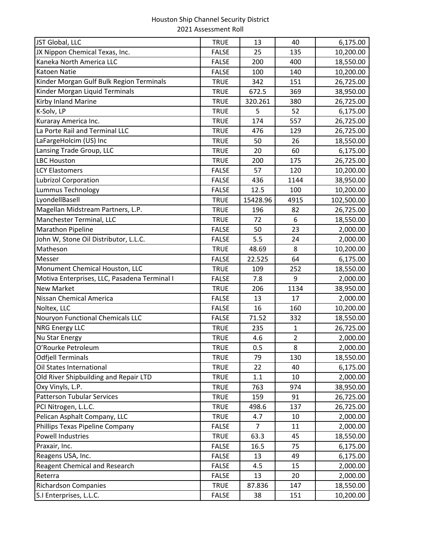| JST Global, LLC                              | <b>TRUE</b>  | 13       | 40             | 6,175.00   |
|----------------------------------------------|--------------|----------|----------------|------------|
| JX Nippon Chemical Texas, Inc.               | <b>FALSE</b> | 25       | 135            | 10,200.00  |
| Kaneka North America LLC                     | <b>FALSE</b> | 200      | 400            | 18,550.00  |
| <b>Katoen Natie</b>                          | <b>FALSE</b> | 100      | 140            | 10,200.00  |
| Kinder Morgan Gulf Bulk Region Terminals     | <b>TRUE</b>  | 342      | 151            | 26,725.00  |
| Kinder Morgan Liquid Terminals               | <b>TRUE</b>  | 672.5    | 369            | 38,950.00  |
| Kirby Inland Marine                          | <b>TRUE</b>  | 320.261  | 380            | 26,725.00  |
| K-Solv, LP                                   | <b>TRUE</b>  | 5        | 52             | 6,175.00   |
| Kuraray America Inc.                         | <b>TRUE</b>  | 174      | 557            | 26,725.00  |
| La Porte Rail and Terminal LLC               | <b>TRUE</b>  | 476      | 129            | 26,725.00  |
| LaFargeHolcim (US) Inc                       | <b>TRUE</b>  | 50       | 26             | 18,550.00  |
| Lansing Trade Group, LLC                     | <b>TRUE</b>  | 20       | 60             | 6,175.00   |
| <b>LBC Houston</b>                           | <b>TRUE</b>  | 200      | 175            | 26,725.00  |
| <b>LCY Elastomers</b>                        | <b>FALSE</b> | 57       | 120            | 10,200.00  |
| <b>Lubrizol Corporation</b>                  | <b>FALSE</b> | 436      | 1144           | 38,950.00  |
| Lummus Technology                            | <b>FALSE</b> | 12.5     | 100            | 10,200.00  |
| LyondellBasell                               | <b>TRUE</b>  | 15428.96 | 4915           | 102,500.00 |
| Magellan Midstream Partners, L.P.            | <b>TRUE</b>  | 196      | 82             | 26,725.00  |
| Manchester Terminal, LLC                     | <b>TRUE</b>  | 72       | 6              | 18,550.00  |
| <b>Marathon Pipeline</b>                     | <b>FALSE</b> | 50       | 23             | 2,000.00   |
| John W, Stone Oil Distributor, L.L.C.        | <b>FALSE</b> | 5.5      | 24             | 2,000.00   |
| Matheson                                     | <b>TRUE</b>  | 48.69    | 8              | 10,200.00  |
| Messer                                       | <b>FALSE</b> | 22.525   | 64             | 6,175.00   |
| Monument Chemical Houston, LLC               | <b>TRUE</b>  | 109      | 252            | 18,550.00  |
| Motiva Enterprises, LLC, Pasadena Terminal I | <b>FALSE</b> | 7.8      | 9              | 2,000.00   |
| <b>New Market</b>                            | <b>TRUE</b>  | 206      | 1134           | 38,950.00  |
| Nissan Chemical America                      | <b>FALSE</b> | 13       | 17             | 2,000.00   |
| Noltex, LLC                                  | <b>FALSE</b> | 16       | 160            | 10,200.00  |
| Nouryon Functional Chemicals LLC             | <b>FALSE</b> | 71.52    | 332            | 18,550.00  |
| <b>NRG Energy LLC</b>                        | <b>TRUE</b>  | 235      | 1              | 26,725.00  |
| Nu Star Energy                               | <b>TRUE</b>  | 4.6      | $\overline{2}$ | 2,000.00   |
| O'Rourke Petroleum                           | TRUE         | 0.5      | 8              | 2,000.00   |
| <b>Odfjell Terminals</b>                     | <b>TRUE</b>  | 79       | 130            | 18,550.00  |
| Oil States International                     | <b>TRUE</b>  | 22       | 40             | 6,175.00   |
| Old River Shipbuilding and Repair LTD        | <b>TRUE</b>  | 1.1      | 10             | 2,000.00   |
| Oxy Vinyls, L.P.                             | <b>TRUE</b>  | 763      | 974            | 38,950.00  |
| <b>Patterson Tubular Services</b>            | <b>TRUE</b>  | 159      | 91             | 26,725.00  |
| PCI Nitrogen, L.L.C.                         | <b>TRUE</b>  | 498.6    | 137            | 26,725.00  |
| Pelican Asphalt Company, LLC                 | <b>TRUE</b>  | 4.7      | 10             | 2,000.00   |
| Phillips Texas Pipeline Company              | <b>FALSE</b> | 7        | 11             | 2,000.00   |
| Powell Industries                            | <b>TRUE</b>  | 63.3     | 45             | 18,550.00  |
| Praxair, Inc.                                | <b>FALSE</b> | 16.5     | 75             | 6,175.00   |
| Reagens USA, Inc.                            | <b>FALSE</b> | 13       | 49             | 6,175.00   |
| <b>Reagent Chemical and Research</b>         | <b>FALSE</b> | 4.5      | 15             | 2,000.00   |
| Reterra                                      | <b>FALSE</b> | 13       | 20             | 2,000.00   |
| <b>Richardson Companies</b>                  | <b>TRUE</b>  | 87.836   | 147            | 18,550.00  |
| S.I Enterprises, L.L.C.                      | <b>FALSE</b> | 38       | 151            | 10,200.00  |